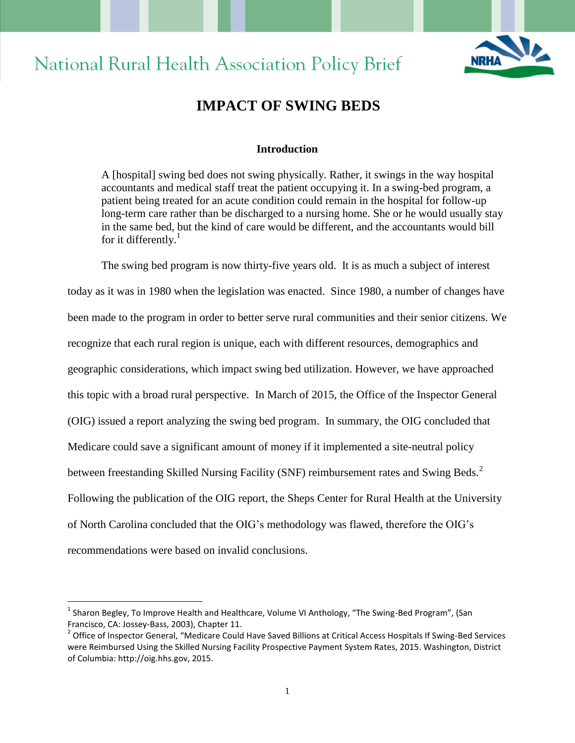# **National Rural Health Association Policy Brief**



## **IMPACT OF SWING BEDS**

## **Introduction**

A [hospital] swing bed does not swing physically. Rather, it swings in the way hospital accountants and medical staff treat the patient occupying it. In a swing-bed program, a patient being treated for an acute condition could remain in the hospital for follow-up long-term care rather than be discharged to a nursing home. She or he would usually stay in the same bed, but the kind of care would be different, and the accountants would bill for it differently. $\frac{1}{1}$ 

The swing bed program is now thirty-five years old. It is as much a subject of interest today as it was in 1980 when the legislation was enacted. Since 1980, a number of changes have been made to the program in order to better serve rural communities and their senior citizens. We recognize that each rural region is unique, each with different resources, demographics and geographic considerations, which impact swing bed utilization. However, we have approached this topic with a broad rural perspective. In March of 2015, the Office of the Inspector General (OIG) issued a report analyzing the swing bed program. In summary, the OIG concluded that Medicare could save a significant amount of money if it implemented a site-neutral policy between freestanding Skilled Nursing Facility (SNF) reimbursement rates and Swing Beds.<sup>2</sup> Following the publication of the OIG report, the Sheps Center for Rural Health at the University of North Carolina concluded that the OIG's methodology was flawed, therefore the OIG's recommendations were based on invalid conclusions.

 $\overline{a}$ 

<sup>&</sup>lt;sup>1</sup> Sharon Begley, To Improve Health and Healthcare, Volume VI Anthology, "The Swing-Bed Program", (San Francisco, CA: Jossey-Bass, 2003), Chapter 11.

<sup>&</sup>lt;sup>2</sup> Office of Inspector General, "Medicare Could Have Saved Billions at Critical Access Hospitals If Swing-Bed Services were Reimbursed Using the Skilled Nursing Facility Prospective Payment System Rates, 2015. Washington, District of Columbia: http://oig.hhs.gov, 2015.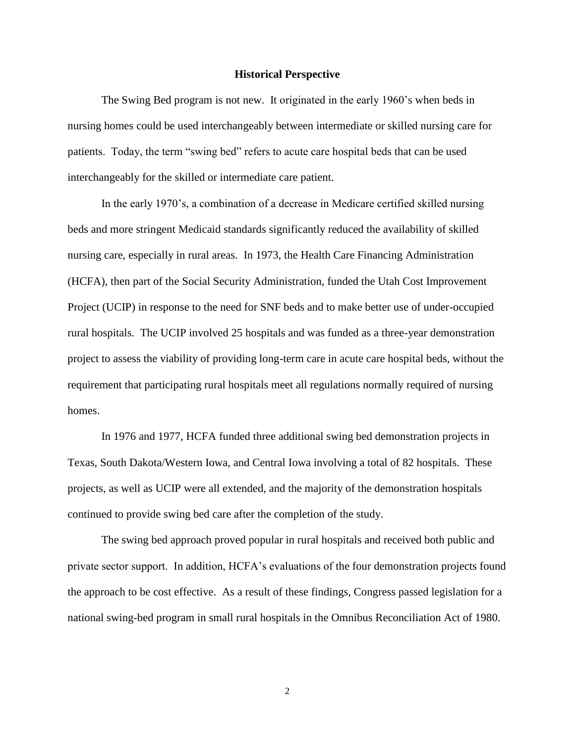#### **Historical Perspective**

The Swing Bed program is not new. It originated in the early 1960's when beds in nursing homes could be used interchangeably between intermediate or skilled nursing care for patients. Today, the term "swing bed" refers to acute care hospital beds that can be used interchangeably for the skilled or intermediate care patient.

In the early 1970's, a combination of a decrease in Medicare certified skilled nursing beds and more stringent Medicaid standards significantly reduced the availability of skilled nursing care, especially in rural areas. In 1973, the Health Care Financing Administration (HCFA), then part of the Social Security Administration, funded the Utah Cost Improvement Project (UCIP) in response to the need for SNF beds and to make better use of under-occupied rural hospitals. The UCIP involved 25 hospitals and was funded as a three-year demonstration project to assess the viability of providing long-term care in acute care hospital beds, without the requirement that participating rural hospitals meet all regulations normally required of nursing homes.

In 1976 and 1977, HCFA funded three additional swing bed demonstration projects in Texas, South Dakota/Western Iowa, and Central Iowa involving a total of 82 hospitals. These projects, as well as UCIP were all extended, and the majority of the demonstration hospitals continued to provide swing bed care after the completion of the study.

The swing bed approach proved popular in rural hospitals and received both public and private sector support. In addition, HCFA's evaluations of the four demonstration projects found the approach to be cost effective. As a result of these findings, Congress passed legislation for a national swing-bed program in small rural hospitals in the Omnibus Reconciliation Act of 1980.

2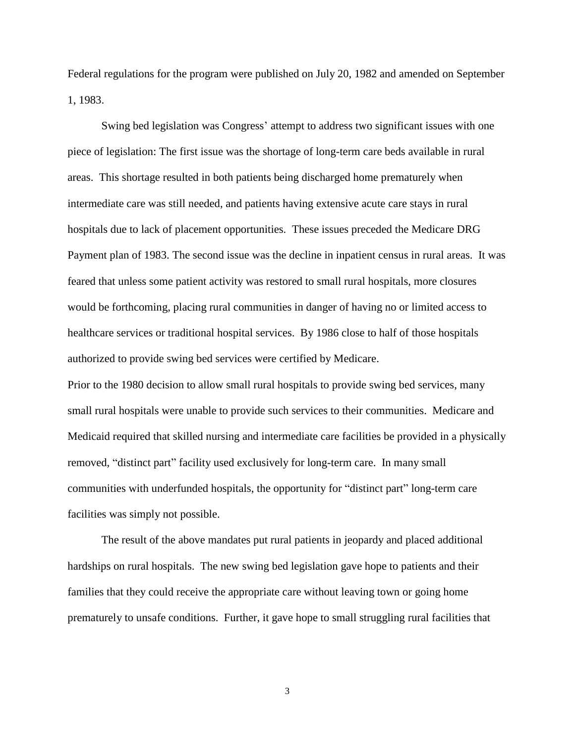Federal regulations for the program were published on July 20, 1982 and amended on September 1, 1983.

Swing bed legislation was Congress' attempt to address two significant issues with one piece of legislation: The first issue was the shortage of long-term care beds available in rural areas. This shortage resulted in both patients being discharged home prematurely when intermediate care was still needed, and patients having extensive acute care stays in rural hospitals due to lack of placement opportunities. These issues preceded the Medicare DRG Payment plan of 1983. The second issue was the decline in inpatient census in rural areas. It was feared that unless some patient activity was restored to small rural hospitals, more closures would be forthcoming, placing rural communities in danger of having no or limited access to healthcare services or traditional hospital services. By 1986 close to half of those hospitals authorized to provide swing bed services were certified by Medicare.

Prior to the 1980 decision to allow small rural hospitals to provide swing bed services, many small rural hospitals were unable to provide such services to their communities. Medicare and Medicaid required that skilled nursing and intermediate care facilities be provided in a physically removed, "distinct part" facility used exclusively for long-term care. In many small communities with underfunded hospitals, the opportunity for "distinct part" long-term care facilities was simply not possible.

The result of the above mandates put rural patients in jeopardy and placed additional hardships on rural hospitals. The new swing bed legislation gave hope to patients and their families that they could receive the appropriate care without leaving town or going home prematurely to unsafe conditions. Further, it gave hope to small struggling rural facilities that

3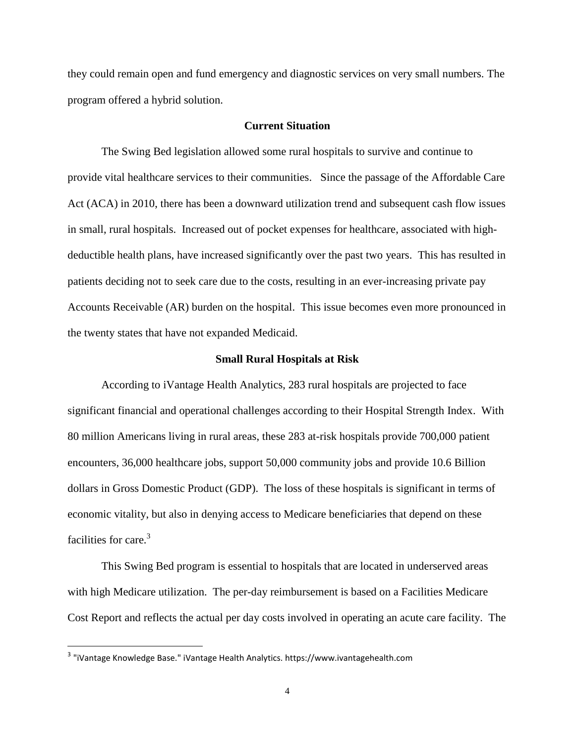they could remain open and fund emergency and diagnostic services on very small numbers. The program offered a hybrid solution.

## **Current Situation**

The Swing Bed legislation allowed some rural hospitals to survive and continue to provide vital healthcare services to their communities. Since the passage of the Affordable Care Act (ACA) in 2010, there has been a downward utilization trend and subsequent cash flow issues in small, rural hospitals. Increased out of pocket expenses for healthcare, associated with highdeductible health plans, have increased significantly over the past two years. This has resulted in patients deciding not to seek care due to the costs, resulting in an ever-increasing private pay Accounts Receivable (AR) burden on the hospital. This issue becomes even more pronounced in the twenty states that have not expanded Medicaid.

#### **Small Rural Hospitals at Risk**

According to iVantage Health Analytics, 283 rural hospitals are projected to face significant financial and operational challenges according to their Hospital Strength Index. With 80 million Americans living in rural areas, these 283 at-risk hospitals provide 700,000 patient encounters, 36,000 healthcare jobs, support 50,000 community jobs and provide 10.6 Billion dollars in Gross Domestic Product (GDP). The loss of these hospitals is significant in terms of economic vitality, but also in denying access to Medicare beneficiaries that depend on these facilities for care.<sup>3</sup>

This Swing Bed program is essential to hospitals that are located in underserved areas with high Medicare utilization. The per-day reimbursement is based on a Facilities Medicare Cost Report and reflects the actual per day costs involved in operating an acute care facility. The

 3 "iVantage Knowledge Base." iVantage Health Analytics. https://www.ivantagehealth.com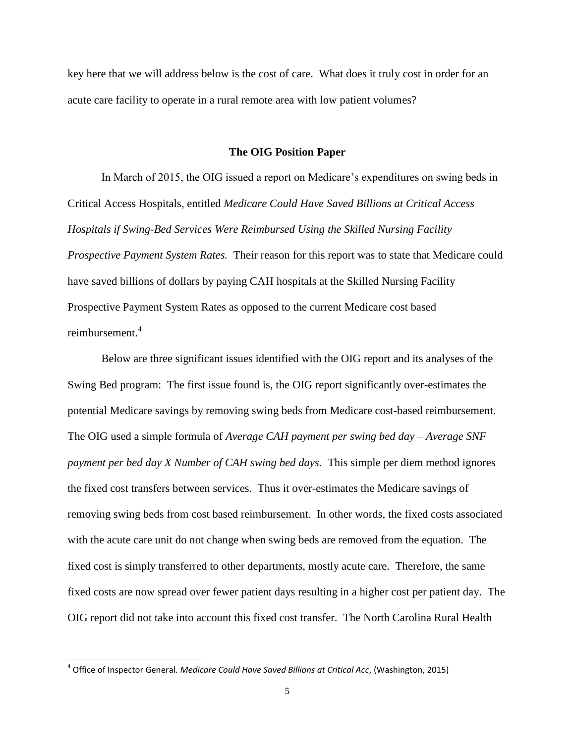key here that we will address below is the cost of care. What does it truly cost in order for an acute care facility to operate in a rural remote area with low patient volumes?

#### **The OIG Position Paper**

In March of 2015, the OIG issued a report on Medicare's expenditures on swing beds in Critical Access Hospitals, entitled *Medicare Could Have Saved Billions at Critical Access Hospitals if Swing-Bed Services Were Reimbursed Using the Skilled Nursing Facility Prospective Payment System Rates.* Their reason for this report was to state that Medicare could have saved billions of dollars by paying CAH hospitals at the Skilled Nursing Facility Prospective Payment System Rates as opposed to the current Medicare cost based reimbursement.<sup>4</sup>

Below are three significant issues identified with the OIG report and its analyses of the Swing Bed program: The first issue found is, the OIG report significantly over-estimates the potential Medicare savings by removing swing beds from Medicare cost-based reimbursement. The OIG used a simple formula of *Average CAH payment per swing bed day – Average SNF payment per bed day X Number of CAH swing bed days.* This simple per diem method ignores the fixed cost transfers between services. Thus it over-estimates the Medicare savings of removing swing beds from cost based reimbursement. In other words, the fixed costs associated with the acute care unit do not change when swing beds are removed from the equation. The fixed cost is simply transferred to other departments, mostly acute care. Therefore, the same fixed costs are now spread over fewer patient days resulting in a higher cost per patient day. The OIG report did not take into account this fixed cost transfer. The North Carolina Rural Health

<sup>4</sup> Office of Inspector General. *Medicare Could Have Saved Billions at Critical Acc*, (Washington, 2015)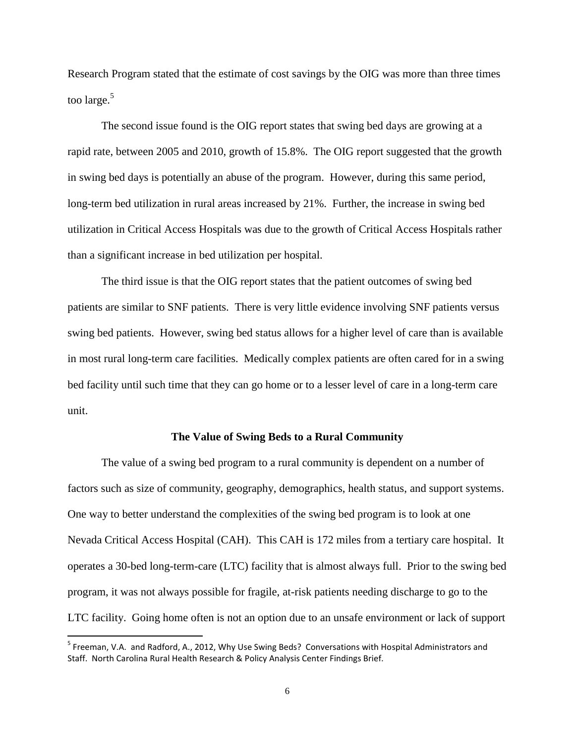Research Program stated that the estimate of cost savings by the OIG was more than three times too large.<sup>5</sup>

The second issue found is the OIG report states that swing bed days are growing at a rapid rate, between 2005 and 2010, growth of 15.8%. The OIG report suggested that the growth in swing bed days is potentially an abuse of the program. However, during this same period, long-term bed utilization in rural areas increased by 21%. Further, the increase in swing bed utilization in Critical Access Hospitals was due to the growth of Critical Access Hospitals rather than a significant increase in bed utilization per hospital.

The third issue is that the OIG report states that the patient outcomes of swing bed patients are similar to SNF patients.There is very little evidence involving SNF patients versus swing bed patients. However, swing bed status allows for a higher level of care than is available in most rural long-term care facilities. Medically complex patients are often cared for in a swing bed facility until such time that they can go home or to a lesser level of care in a long-term care unit.

#### **The Value of Swing Beds to a Rural Community**

The value of a swing bed program to a rural community is dependent on a number of factors such as size of community, geography, demographics, health status, and support systems. One way to better understand the complexities of the swing bed program is to look at one Nevada Critical Access Hospital (CAH). This CAH is 172 miles from a tertiary care hospital. It operates a 30-bed long-term-care (LTC) facility that is almost always full. Prior to the swing bed program, it was not always possible for fragile, at-risk patients needing discharge to go to the LTC facility. Going home often is not an option due to an unsafe environment or lack of support

<sup>&</sup>lt;sup>5</sup> Freeman, V.A. and Radford, A., 2012, Why Use Swing Beds? Conversations with Hospital Administrators and Staff. North Carolina Rural Health Research & Policy Analysis Center Findings Brief.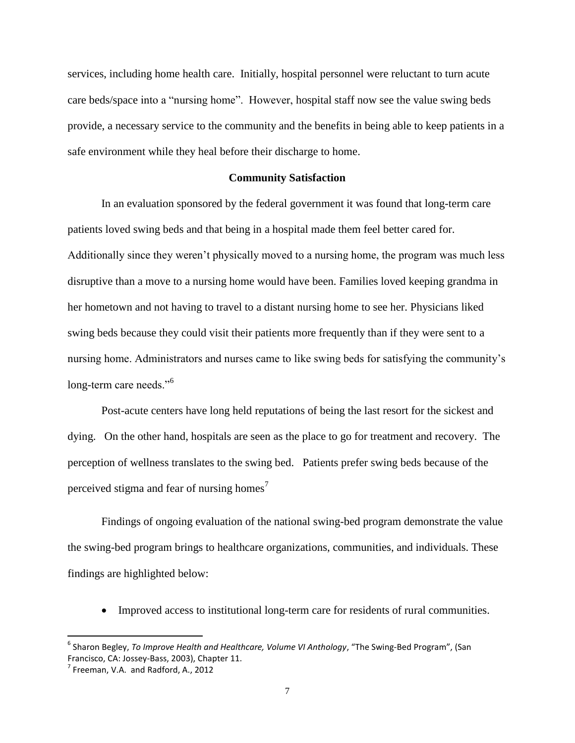services, including home health care. Initially, hospital personnel were reluctant to turn acute care beds/space into a "nursing home". However, hospital staff now see the value swing beds provide, a necessary service to the community and the benefits in being able to keep patients in a safe environment while they heal before their discharge to home.

#### **Community Satisfaction**

In an evaluation sponsored by the federal government it was found that long-term care patients loved swing beds and that being in a hospital made them feel better cared for. Additionally since they weren't physically moved to a nursing home, the program was much less disruptive than a move to a nursing home would have been. Families loved keeping grandma in her hometown and not having to travel to a distant nursing home to see her. Physicians liked swing beds because they could visit their patients more frequently than if they were sent to a nursing home. Administrators and nurses came to like swing beds for satisfying the community's long-term care needs."<sup>6</sup>

Post-acute centers have long held reputations of being the last resort for the sickest and dying. On the other hand, hospitals are seen as the place to go for treatment and recovery. The perception of wellness translates to the swing bed. Patients prefer swing beds because of the perceived stigma and fear of nursing homes<sup>7</sup>

Findings of ongoing evaluation of the national swing-bed program demonstrate the value the swing-bed program brings to healthcare organizations, communities, and individuals. These findings are highlighted below:

Improved access to institutional long-term care for residents of rural communities.

<sup>6</sup> Sharon Begley, *To Improve Health and Healthcare, Volume VI Anthology*, "The Swing-Bed Program", (San Francisco, CA: Jossey-Bass, 2003), Chapter 11.

 $<sup>7</sup>$  Freeman, V.A. and Radford, A., 2012</sup>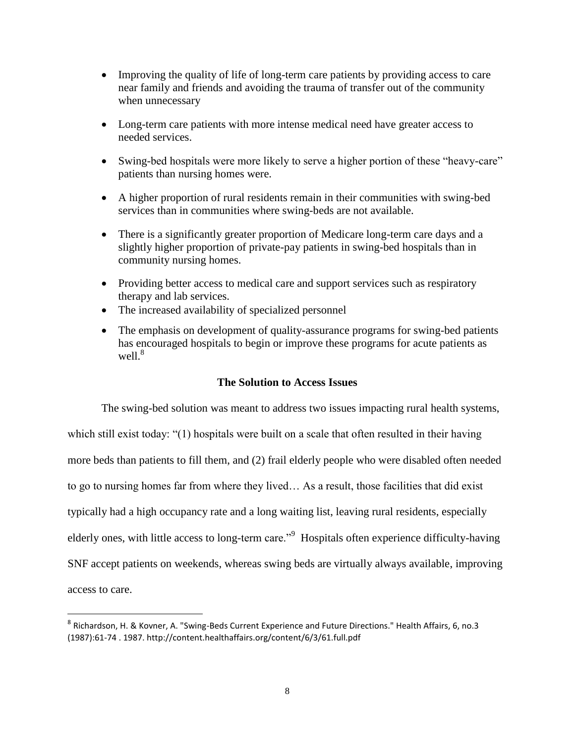- Improving the quality of life of long-term care patients by providing access to care near family and friends and avoiding the trauma of transfer out of the community when unnecessary
- Long-term care patients with more intense medical need have greater access to needed services.
- Swing-bed hospitals were more likely to serve a higher portion of these "heavy-care" patients than nursing homes were.
- A higher proportion of rural residents remain in their communities with swing-bed services than in communities where swing-beds are not available.
- There is a significantly greater proportion of Medicare long-term care days and a slightly higher proportion of private-pay patients in swing-bed hospitals than in community nursing homes.
- Providing better access to medical care and support services such as respiratory therapy and lab services.
- The increased availability of specialized personnel
- The emphasis on development of quality-assurance programs for swing-bed patients has encouraged hospitals to begin or improve these programs for acute patients as well. $8$

## **The Solution to Access Issues**

The swing-bed solution was meant to address two issues impacting rural health systems, which still exist today: "(1) hospitals were built on a scale that often resulted in their having more beds than patients to fill them, and (2) frail elderly people who were disabled often needed to go to nursing homes far from where they lived… As a result, those facilities that did exist typically had a high occupancy rate and a long waiting list, leaving rural residents, especially elderly ones, with little access to long-term care."<sup>9</sup> Hospitals often experience difficulty-having SNF accept patients on weekends, whereas swing beds are virtually always available, improving access to care.

l

<sup>&</sup>lt;sup>8</sup> Richardson, H. & Kovner, A. "Swing-Beds Current Experience and Future Directions." Health Affairs, 6, no.3 (1987):61-74 . 1987. http://content.healthaffairs.org/content/6/3/61.full.pdf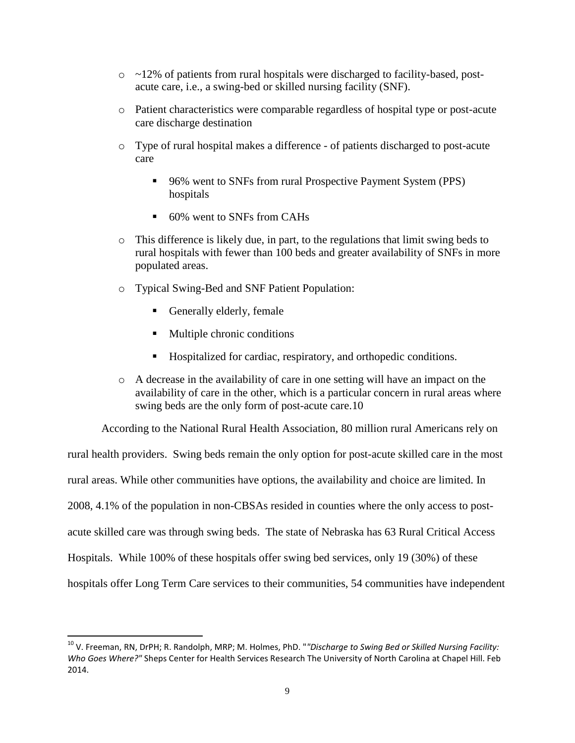- o ~12% of patients from rural hospitals were discharged to facility-based, postacute care, i.e., a swing-bed or skilled nursing facility (SNF).
- o Patient characteristics were comparable regardless of hospital type or post-acute care discharge destination
- o Type of rural hospital makes a difference of patients discharged to post-acute care
	- 96% went to SNFs from rural Prospective Payment System (PPS) hospitals
	- 60% went to SNFs from CAHs
- o This difference is likely due, in part, to the regulations that limit swing beds to rural hospitals with fewer than 100 beds and greater availability of SNFs in more populated areas.
- o Typical Swing-Bed and SNF Patient Population:
	- Generally elderly, female

 $\overline{\phantom{a}}$ 

- Multiple chronic conditions
- Hospitalized for cardiac, respiratory, and orthopedic conditions.
- o A decrease in the availability of care in one setting will have an impact on the availability of care in the other, which is a particular concern in rural areas where swing beds are the only form of post-acute care.10

According to the National Rural Health Association, 80 million rural Americans rely on

rural health providers. Swing beds remain the only option for post-acute skilled care in the most rural areas. While other communities have options, the availability and choice are limited. In 2008, 4.1% of the population in non-CBSAs resided in counties where the only access to postacute skilled care was through swing beds. The state of Nebraska has 63 Rural Critical Access Hospitals. While 100% of these hospitals offer swing bed services, only 19 (30%) of these hospitals offer Long Term Care services to their communities, 54 communities have independent

<sup>10</sup> V. Freeman, RN, DrPH; R. Randolph, MRP; M. Holmes, PhD. "*"Discharge to Swing Bed or Skilled Nursing Facility: Who Goes Where?"* Sheps Center for Health Services Research The University of North Carolina at Chapel Hill. Feb 2014.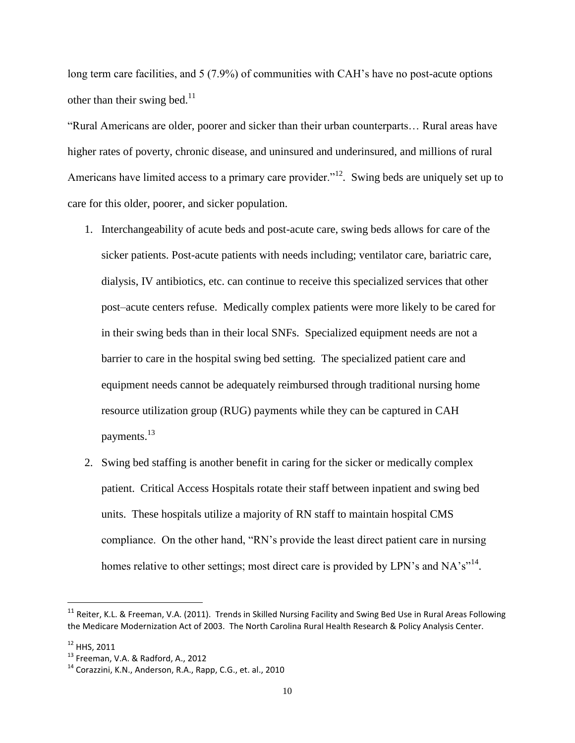long term care facilities, and 5 (7.9%) of communities with CAH's have no post-acute options other than their swing bed. $11$ 

"Rural Americans are older, poorer and sicker than their urban counterparts… Rural areas have higher rates of poverty, chronic disease, and uninsured and underinsured, and millions of rural Americans have limited access to a primary care provider.<sup>"12</sup>. Swing beds are uniquely set up to care for this older, poorer, and sicker population.

- 1. Interchangeability of acute beds and post-acute care, swing beds allows for care of the sicker patients. Post-acute patients with needs including; ventilator care, bariatric care, dialysis, IV antibiotics, etc. can continue to receive this specialized services that other post–acute centers refuse. Medically complex patients were more likely to be cared for in their swing beds than in their local SNFs. Specialized equipment needs are not a barrier to care in the hospital swing bed setting. The specialized patient care and equipment needs cannot be adequately reimbursed through traditional nursing home resource utilization group (RUG) payments while they can be captured in CAH payments.<sup>13</sup>
- 2. Swing bed staffing is another benefit in caring for the sicker or medically complex patient. Critical Access Hospitals rotate their staff between inpatient and swing bed units. These hospitals utilize a majority of RN staff to maintain hospital CMS compliance. On the other hand, "RN's provide the least direct patient care in nursing homes relative to other settings; most direct care is provided by LPN's and NA's"<sup>14</sup>.

 $11$  Reiter, K.L. & Freeman, V.A. (2011). Trends in Skilled Nursing Facility and Swing Bed Use in Rural Areas Following the Medicare Modernization Act of 2003. The North Carolina Rural Health Research & Policy Analysis Center.

<sup>12</sup> HHS, 2011

 $13$  Freeman, V.A. & Radford, A., 2012

 $14$  Corazzini, K.N., Anderson, R.A., Rapp, C.G., et. al., 2010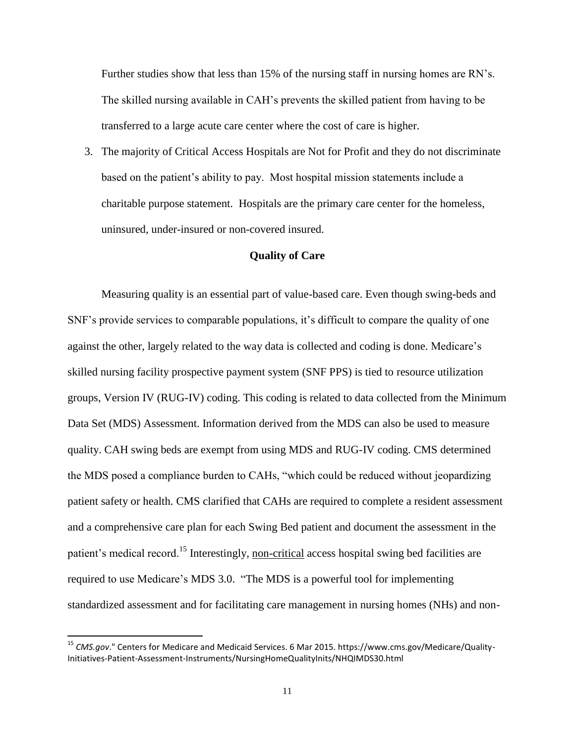Further studies show that less than 15% of the nursing staff in nursing homes are RN's. The skilled nursing available in CAH's prevents the skilled patient from having to be transferred to a large acute care center where the cost of care is higher.

3. The majority of Critical Access Hospitals are Not for Profit and they do not discriminate based on the patient's ability to pay. Most hospital mission statements include a charitable purpose statement. Hospitals are the primary care center for the homeless, uninsured, under-insured or non-covered insured.

## **Quality of Care**

Measuring quality is an essential part of value-based care. Even though swing-beds and SNF's provide services to comparable populations, it's difficult to compare the quality of one against the other, largely related to the way data is collected and coding is done. Medicare's skilled nursing facility prospective payment system (SNF PPS) is tied to resource utilization groups, Version IV (RUG-IV) coding. This coding is related to data collected from the Minimum Data Set (MDS) Assessment. Information derived from the MDS can also be used to measure quality. CAH swing beds are exempt from using MDS and RUG-IV coding. CMS determined the MDS posed a compliance burden to CAHs, "which could be reduced without jeopardizing patient safety or health. CMS clarified that CAHs are required to complete a resident assessment and a comprehensive care plan for each Swing Bed patient and document the assessment in the patient's medical record.<sup>15</sup> Interestingly, non-critical access hospital swing bed facilities are required to use Medicare's MDS 3.0. "The MDS is a powerful tool for implementing standardized assessment and for facilitating care management in nursing homes (NHs) and non-

<sup>15</sup> *CMS.gov*." Centers for Medicare and Medicaid Services. 6 Mar 2015. https://www.cms.gov/Medicare/Quality-Initiatives-Patient-Assessment-Instruments/NursingHomeQualityInits/NHQIMDS30.html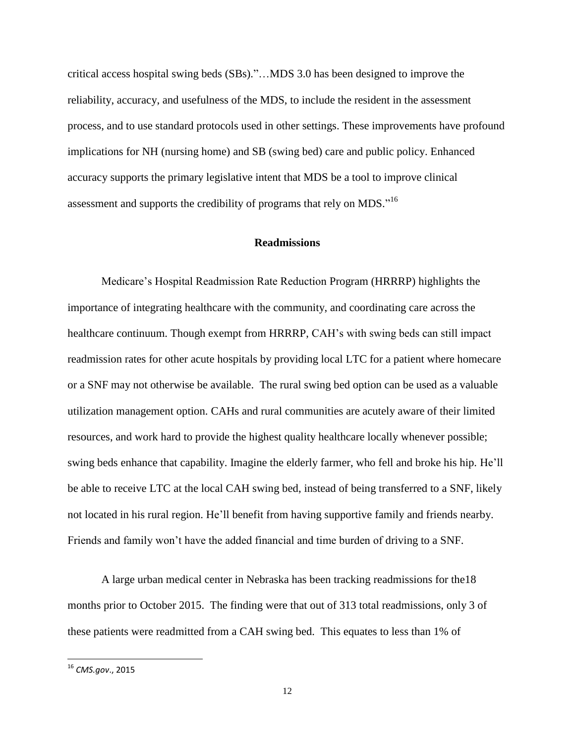critical access hospital swing beds (SBs)."…MDS 3.0 has been designed to improve the reliability, accuracy, and usefulness of the MDS, to include the resident in the assessment process, and to use standard protocols used in other settings. These improvements have profound implications for NH (nursing home) and SB (swing bed) care and public policy. Enhanced accuracy supports the primary legislative intent that MDS be a tool to improve clinical assessment and supports the credibility of programs that rely on MDS."<sup>16</sup>

## **Readmissions**

Medicare's Hospital Readmission Rate Reduction Program (HRRRP) highlights the importance of integrating healthcare with the community, and coordinating care across the healthcare continuum. Though exempt from HRRRP, CAH's with swing beds can still impact readmission rates for other acute hospitals by providing local LTC for a patient where homecare or a SNF may not otherwise be available. The rural swing bed option can be used as a valuable utilization management option. CAHs and rural communities are acutely aware of their limited resources, and work hard to provide the highest quality healthcare locally whenever possible; swing beds enhance that capability. Imagine the elderly farmer, who fell and broke his hip. He'll be able to receive LTC at the local CAH swing bed, instead of being transferred to a SNF, likely not located in his rural region. He'll benefit from having supportive family and friends nearby. Friends and family won't have the added financial and time burden of driving to a SNF.

A large urban medical center in Nebraska has been tracking readmissions for the18 months prior to October 2015. The finding were that out of 313 total readmissions, only 3 of these patients were readmitted from a CAH swing bed. This equates to less than 1% of

<sup>16</sup> *CMS.gov*., 2015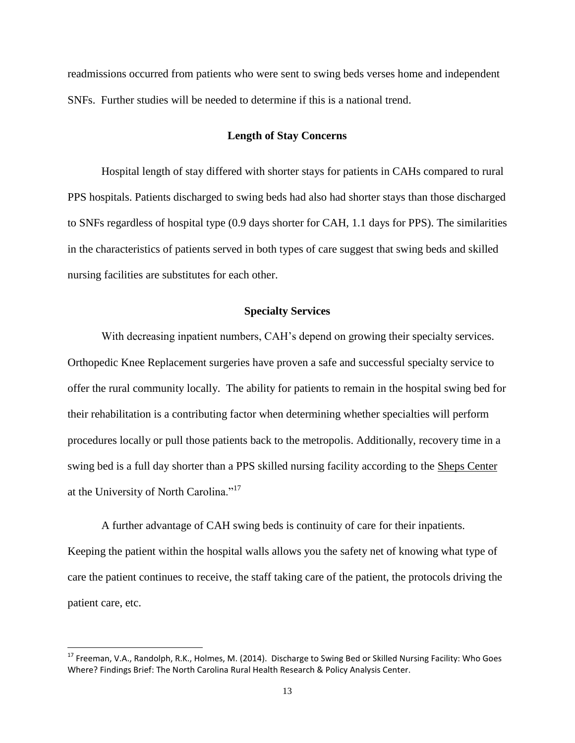readmissions occurred from patients who were sent to swing beds verses home and independent SNFs. Further studies will be needed to determine if this is a national trend.

#### **Length of Stay Concerns**

Hospital length of stay differed with shorter stays for patients in CAHs compared to rural PPS hospitals. Patients discharged to swing beds had also had shorter stays than those discharged to SNFs regardless of hospital type (0.9 days shorter for CAH, 1.1 days for PPS). The similarities in the characteristics of patients served in both types of care suggest that swing beds and skilled nursing facilities are substitutes for each other.

#### **Specialty Services**

With decreasing inpatient numbers, CAH's depend on growing their specialty services. Orthopedic Knee Replacement surgeries have proven a safe and successful specialty service to offer the rural community locally. The ability for patients to remain in the hospital swing bed for their rehabilitation is a contributing factor when determining whether specialties will perform procedures locally or pull those patients back to the metropolis. Additionally, recovery time in a swing bed is a full day shorter than a PPS skilled nursing facility according to the [Sheps Center](http://connect.nrharural.org/blogs/brock-slabach/2015/03/10/recovery%20time%20in%20a%20swing%20bed%20is%20a%20full%20day%20shorter%20than%20a%20SNF%20according%20to%20SHEPs%20report.) at the University of North Carolina."<sup>17</sup>

A further advantage of CAH swing beds is continuity of care for their inpatients. Keeping the patient within the hospital walls allows you the safety net of knowing what type of care the patient continues to receive, the staff taking care of the patient, the protocols driving the patient care, etc.

l

<sup>&</sup>lt;sup>17</sup> Freeman, V.A., Randolph, R.K., Holmes, M. (2014). Discharge to Swing Bed or Skilled Nursing Facility: Who Goes Where? Findings Brief: The North Carolina Rural Health Research & Policy Analysis Center.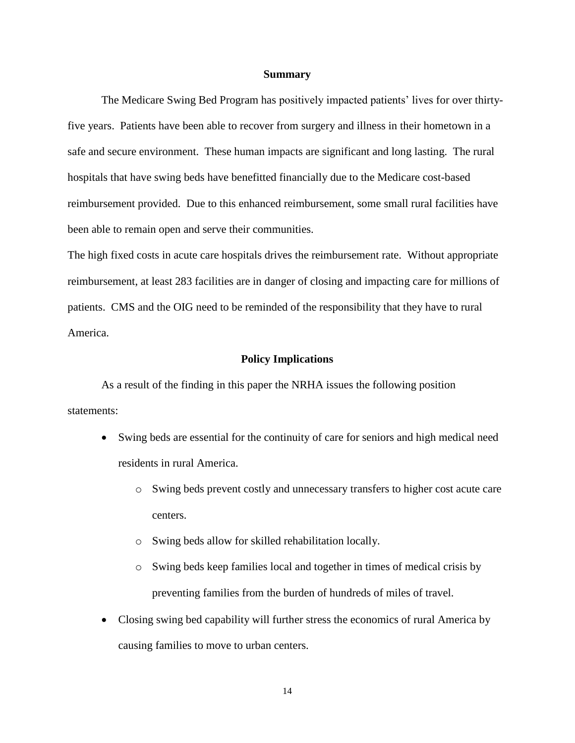#### **Summary**

The Medicare Swing Bed Program has positively impacted patients' lives for over thirtyfive years. Patients have been able to recover from surgery and illness in their hometown in a safe and secure environment. These human impacts are significant and long lasting. The rural hospitals that have swing beds have benefitted financially due to the Medicare cost-based reimbursement provided. Due to this enhanced reimbursement, some small rural facilities have been able to remain open and serve their communities.

The high fixed costs in acute care hospitals drives the reimbursement rate. Without appropriate reimbursement, at least 283 facilities are in danger of closing and impacting care for millions of patients. CMS and the OIG need to be reminded of the responsibility that they have to rural America.

## **Policy Implications**

As a result of the finding in this paper the NRHA issues the following position statements:

- Swing beds are essential for the continuity of care for seniors and high medical need residents in rural America.
	- o Swing beds prevent costly and unnecessary transfers to higher cost acute care centers.
	- o Swing beds allow for skilled rehabilitation locally.
	- o Swing beds keep families local and together in times of medical crisis by preventing families from the burden of hundreds of miles of travel.
- Closing swing bed capability will further stress the economics of rural America by causing families to move to urban centers.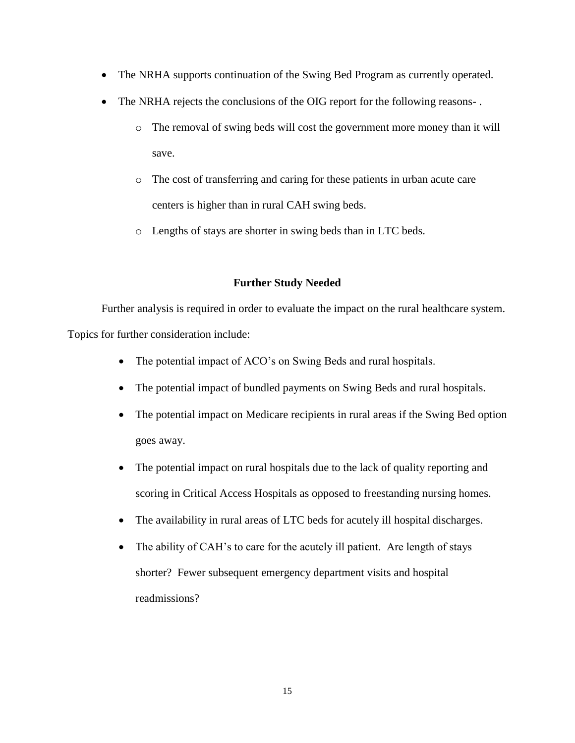- The NRHA supports continuation of the Swing Bed Program as currently operated.
- The NRHA rejects the conclusions of the OIG report for the following reasons-.
	- o The removal of swing beds will cost the government more money than it will save.
	- o The cost of transferring and caring for these patients in urban acute care centers is higher than in rural CAH swing beds.
	- o Lengths of stays are shorter in swing beds than in LTC beds.

## **Further Study Needed**

Further analysis is required in order to evaluate the impact on the rural healthcare system. Topics for further consideration include:

- The potential impact of ACO's on Swing Beds and rural hospitals.
- The potential impact of bundled payments on Swing Beds and rural hospitals.
- The potential impact on Medicare recipients in rural areas if the Swing Bed option goes away.
- The potential impact on rural hospitals due to the lack of quality reporting and scoring in Critical Access Hospitals as opposed to freestanding nursing homes.
- The availability in rural areas of LTC beds for acutely ill hospital discharges.
- The ability of CAH's to care for the acutely ill patient. Are length of stays shorter? Fewer subsequent emergency department visits and hospital readmissions?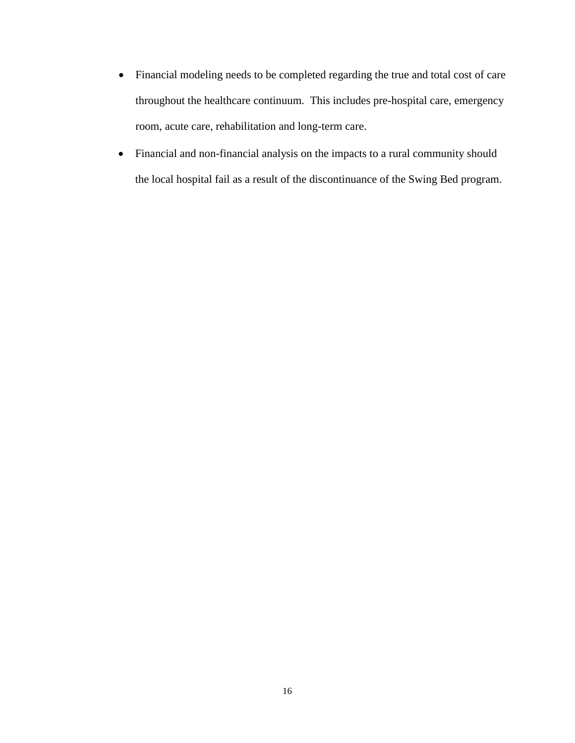- Financial modeling needs to be completed regarding the true and total cost of care throughout the healthcare continuum. This includes pre-hospital care, emergency room, acute care, rehabilitation and long-term care.
- Financial and non-financial analysis on the impacts to a rural community should the local hospital fail as a result of the discontinuance of the Swing Bed program.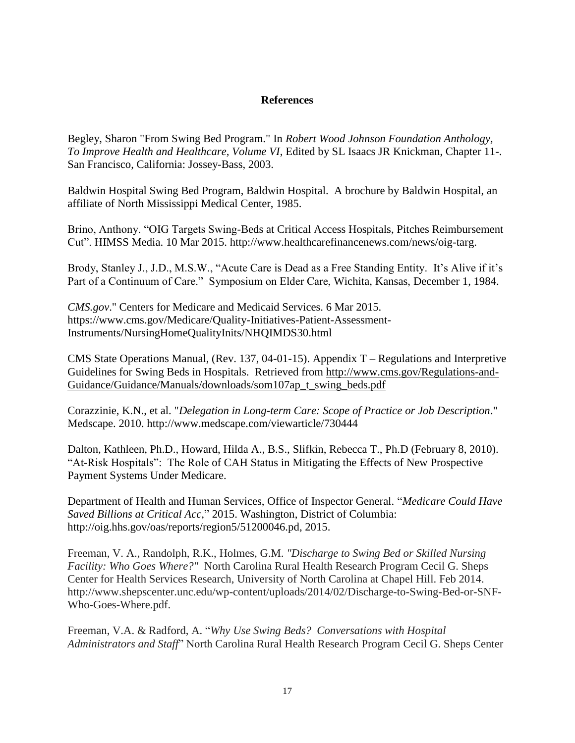## **References**

Begley, Sharon "From Swing Bed Program." In *Robert Wood Johnson Foundation Anthology, To Improve Health and Healthcare, Volume VI*, Edited by SL Isaacs JR Knickman, Chapter 11-. San Francisco, California: Jossey-Bass, 2003.

Baldwin Hospital Swing Bed Program, Baldwin Hospital. A brochure by Baldwin Hospital, an affiliate of North Mississippi Medical Center, 1985.

Brino, Anthony. "OIG Targets Swing-Beds at Critical Access Hospitals, Pitches Reimbursement Cut". HIMSS Media. 10 Mar 2015. http://www.healthcarefinancenews.com/news/oig-targ.

Brody, Stanley J., J.D., M.S.W., "Acute Care is Dead as a Free Standing Entity. It's Alive if it's Part of a Continuum of Care." Symposium on Elder Care, Wichita, Kansas, December 1, 1984.

*CMS.gov*." Centers for Medicare and Medicaid Services. 6 Mar 2015. https://www.cms.gov/Medicare/Quality-Initiatives-Patient-Assessment-Instruments/NursingHomeQualityInits/NHQIMDS30.html

CMS State Operations Manual, (Rev. 137, 04-01-15). Appendix T – Regulations and Interpretive Guidelines for Swing Beds in Hospitals. Retrieved from [http://www.cms.gov/Regulations-and-](http://www.cms.gov/Regulations-and-Guidance/Guidance/Manuals/downloads/som107ap_t_swing_beds.pdf)[Guidance/Guidance/Manuals/downloads/som107ap\\_t\\_swing\\_beds.pdf](http://www.cms.gov/Regulations-and-Guidance/Guidance/Manuals/downloads/som107ap_t_swing_beds.pdf)

Corazzinie, K.N., et al. "*Delegation in Long-term Care: Scope of Practice or Job Description*." Medscape. 2010. http://www.medscape.com/viewarticle/730444

Dalton, Kathleen, Ph.D., Howard, Hilda A., B.S., Slifkin, Rebecca T., Ph.D (February 8, 2010). "At-Risk Hospitals": The Role of CAH Status in Mitigating the Effects of New Prospective Payment Systems Under Medicare.

Department of Health and Human Services, Office of Inspector General. "*Medicare Could Have Saved Billions at Critical Acc*," 2015. Washington, District of Columbia: http://oig.hhs.gov/oas/reports/region5/51200046.pd, 2015.

Freeman, V. A., Randolph, R.K., Holmes, G.M. *"Discharge to Swing Bed or Skilled Nursing Facility: Who Goes Where?"* North Carolina Rural Health Research Program Cecil G. Sheps Center for Health Services Research, University of North Carolina at Chapel Hill. Feb 2014. http://www.shepscenter.unc.edu/wp-content/uploads/2014/02/Discharge-to-Swing-Bed-or-SNF-Who-Goes-Where.pdf.

Freeman, V.A. & Radford, A. "*Why Use Swing Beds? Conversations with Hospital Administrators and Staff*" North Carolina Rural Health Research Program Cecil G. Sheps Center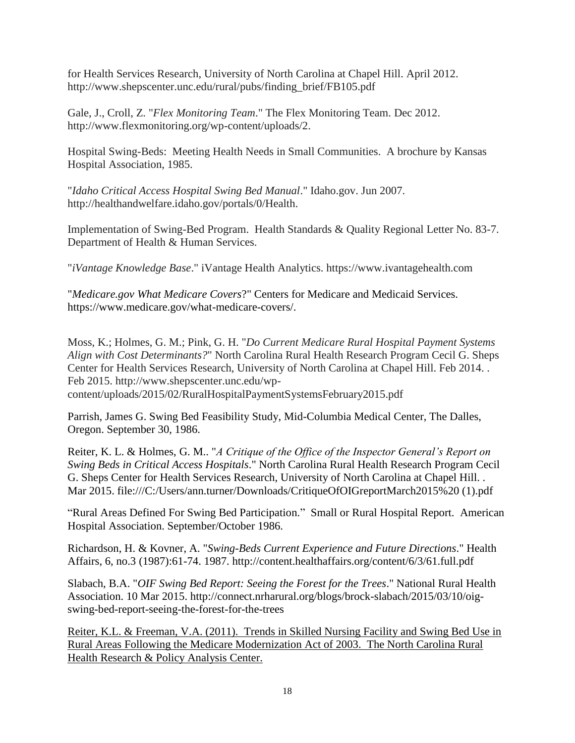for Health Services Research, University of North Carolina at Chapel Hill. April 2012. http://www.shepscenter.unc.edu/rural/pubs/finding\_brief/FB105.pdf

Gale, J., Croll, Z. "*Flex Monitoring Team*." The Flex Monitoring Team. Dec 2012. http://www.flexmonitoring.org/wp-content/uploads/2.

Hospital Swing-Beds: Meeting Health Needs in Small Communities. A brochure by Kansas Hospital Association, 1985.

"*Idaho Critical Access Hospital Swing Bed Manual*." Idaho.gov. Jun 2007. http://healthandwelfare.idaho.gov/portals/0/Health.

Implementation of Swing-Bed Program. Health Standards & Quality Regional Letter No. 83-7. Department of Health & Human Services.

"*iVantage Knowledge Base*." iVantage Health Analytics. https://www.ivantagehealth.com

"*Medicare.gov What Medicare Covers*?" Centers for Medicare and Medicaid Services. https://www.medicare.gov/what-medicare-covers/.

Moss, K.; Holmes, G. M.; Pink, G. H. "*Do Current Medicare Rural Hospital Payment Systems Align with Cost Determinants?*" North Carolina Rural Health Research Program Cecil G. Sheps Center for Health Services Research, University of North Carolina at Chapel Hill. Feb 2014. . Feb 2015. http://www.shepscenter.unc.edu/wpcontent/uploads/2015/02/RuralHospitalPaymentSystemsFebruary2015.pdf

Parrish, James G. Swing Bed Feasibility Study, Mid-Columbia Medical Center, The Dalles,

Oregon. September 30, 1986.

Reiter, K. L. & Holmes, G. M.. "*A Critique of the Office of the Inspector General's Report on Swing Beds in Critical Access Hospitals*." North Carolina Rural Health Research Program Cecil G. Sheps Center for Health Services Research, University of North Carolina at Chapel Hill. . Mar 2015. file:///C:/Users/ann.turner/Downloads/CritiqueOfOIGreportMarch2015%20 (1).pdf

"Rural Areas Defined For Swing Bed Participation." Small or Rural Hospital Report. American Hospital Association. September/October 1986.

Richardson, H. & Kovner, A. "*Swing-Beds Current Experience and Future Directions*." Health Affairs, 6, no.3 (1987):61-74. 1987. http://content.healthaffairs.org/content/6/3/61.full.pdf

Slabach, B.A. "*OIF Swing Bed Report: Seeing the Forest for the Trees*." National Rural Health Association. 10 Mar 2015. http://connect.nrharural.org/blogs/brock-slabach/2015/03/10/oigswing-bed-report-seeing-the-forest-for-the-trees

Reiter, K.L. & Freeman, V.A. (2011). Trends in Skilled Nursing Facility and Swing Bed Use in Rural Areas Following the Medicare Modernization Act of 2003. The North Carolina Rural Health Research & Policy Analysis Center.